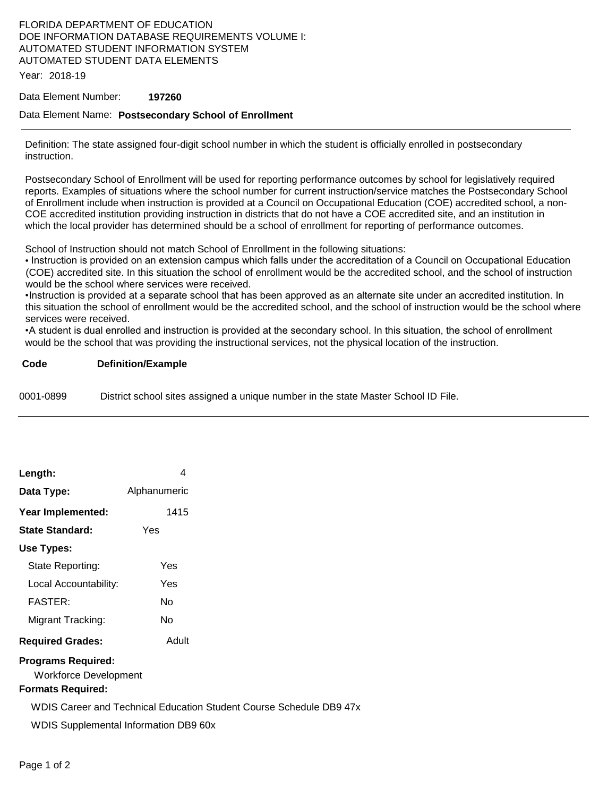## FLORIDA DEPARTMENT OF EDUCATION DOE INFORMATION DATABASE REQUIREMENTS VOLUME I: AUTOMATED STUDENT INFORMATION SYSTEM AUTOMATED STUDENT DATA ELEMENTS

Year: 2018-19

### Data Element Number: **197260**

### Data Element Name: **Postsecondary School of Enrollment**

Definition: The state assigned four-digit school number in which the student is officially enrolled in postsecondary instruction.

Postsecondary School of Enrollment will be used for reporting performance outcomes by school for legislatively required reports. Examples of situations where the school number for current instruction/service matches the Postsecondary School of Enrollment include when instruction is provided at a Council on Occupational Education (COE) accredited school, a non-COE accredited institution providing instruction in districts that do not have a COE accredited site, and an institution in which the local provider has determined should be a school of enrollment for reporting of performance outcomes.

School of Instruction should not match School of Enrollment in the following situations:

• Instruction is provided on an extension campus which falls under the accreditation of a Council on Occupational Education (COE) accredited site. In this situation the school of enrollment would be the accredited school, and the school of instruction would be the school where services were received.

•Instruction is provided at a separate school that has been approved as an alternate site under an accredited institution. In this situation the school of enrollment would be the accredited school, and the school of instruction would be the school where services were received.

•A student is dual enrolled and instruction is provided at the secondary school. In this situation, the school of enrollment would be the school that was providing the instructional services, not the physical location of the instruction.

**Code Definition/Example** 

0001-0899 District school sites assigned a unique number in the state Master School ID File.

| Length:                   | 4            |  |  |  |  |
|---------------------------|--------------|--|--|--|--|
| Data Type:                | Alphanumeric |  |  |  |  |
| Year Implemented:         | 1415         |  |  |  |  |
| State Standard:           | Yes          |  |  |  |  |
| Use Types:                |              |  |  |  |  |
| State Reporting:          | Yes          |  |  |  |  |
| Local Accountability:     | Yes          |  |  |  |  |
| <b>FASTER:</b>            | N٥           |  |  |  |  |
| Migrant Tracking:         | N٥           |  |  |  |  |
| <b>Required Grades:</b>   | Adult        |  |  |  |  |
| <b>Programs Required:</b> |              |  |  |  |  |

Workforce Development

### **Formats Required:**

WDIS Career and Technical Education Student Course Schedule DB9 47x

WDIS Supplemental Information DB9 60x